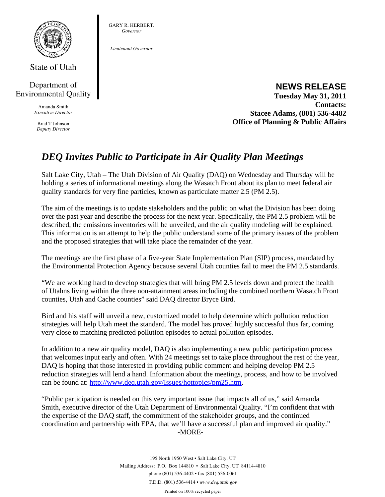

State of Utah

## Department of Environmental Quality

Amanda Smith *Executive Director* 

Brad T Johnson *Deputy Director* 

#### GARY R. HERBERT. *Governor*

*Lieutenant Governor* 

# **NEWS RELEASE**

**Tuesday May 31, 2011 Contacts: Stacee Adams, (801) 536-4482 Office of Planning & Public Affairs**

# *DEQ Invites Public to Participate in Air Quality Plan Meetings*

Salt Lake City, Utah – The Utah Division of Air Quality (DAQ) on Wednesday and Thursday will be holding a series of informational meetings along the Wasatch Front about its plan to meet federal air quality standards for very fine particles, known as particulate matter 2.5 (PM 2.5).

The aim of the meetings is to update stakeholders and the public on what the Division has been doing over the past year and describe the process for the next year. Specifically, the PM 2.5 problem will be described, the emissions inventories will be unveiled, and the air quality modeling will be explained. This information is an attempt to help the public understand some of the primary issues of the problem and the proposed strategies that will take place the remainder of the year.

The meetings are the first phase of a five-year State Implementation Plan (SIP) process, mandated by the Environmental Protection Agency because several Utah counties fail to meet the PM 2.5 standards.

"We are working hard to develop strategies that will bring PM 2.5 levels down and protect the health of Utahns living within the three non-attainment areas including the combined northern Wasatch Front counties, Utah and Cache counties" said DAQ director Bryce Bird.

Bird and his staff will unveil a new, customized model to help determine which pollution reduction strategies will help Utah meet the standard. The model has proved highly successful thus far, coming very close to matching predicted pollution episodes to actual pollution episodes.

In addition to a new air quality model, DAQ is also implementing a new public participation process that welcomes input early and often. With 24 meetings set to take place throughout the rest of the year, DAQ is hoping that those interested in providing public comment and helping develop PM 2.5 reduction strategies will lend a hand. Information about the meetings, process, and how to be involved can be found at: http://www.deq.utah.gov/Issues/hottopics/pm25.htm.

"Public participation is needed on this very important issue that impacts all of us," said Amanda Smith, executive director of the Utah Department of Environmental Quality. "I'm confident that with the expertise of the DAQ staff, the commitment of the stakeholder groups, and the continued coordination and partnership with EPA, that we'll have a successful plan and improved air quality." -MORE-

> 195 North 1950 West • Salt Lake City, UT Mailing Address: P.O. Box 144810 • Salt Lake City, UT 84114-4810 phone (801) 536-4402 • fax (801) 536-0061 T.D.D. (801) 536-4414 • *www.deq.utah.gov*

Printed on 100% recycled paper